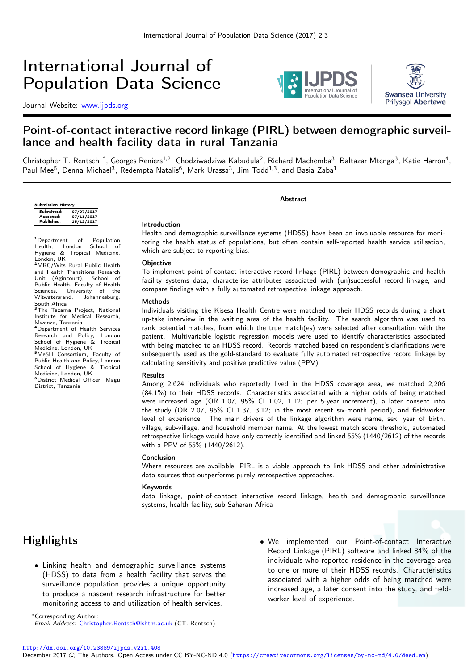# International Journal of Population Data Science

Journal Website: [www.ijpds.org](http://www.ijpds.org)





# Point-of-contact interactive record linkage (PIRL) between demographic surveillance and health facility data in rural Tanzania

Christopher T. Rentsch<sup>1\*</sup>, Georges Reniers<sup>1,2</sup>, Chodziwadziwa Kabudula<sup>2</sup>, Richard Machemba<sup>3</sup>, Baltazar Mtenga<sup>3</sup>, Katie Harron<sup>4</sup>, Paul Mee<sup>5</sup>, Denna Michael<sup>3</sup>, Redempta Natalis<sup>6</sup>, Mark Urassa<sup>3</sup>, Jim Todd<sup>1,3</sup>, and Basia Zaba<sup>1</sup>

| <b>Submission History</b> |            |  |  |  |  |  |  |  |  |
|---------------------------|------------|--|--|--|--|--|--|--|--|
| Submitted:                | 07/07/2017 |  |  |  |  |  |  |  |  |
| Accepted:                 | 07/11/2017 |  |  |  |  |  |  |  |  |
| Published:                | 15/12/2017 |  |  |  |  |  |  |  |  |

<sup>1</sup>Department of Population Health, London School of Hygiene & Tropical Medicine, London, UK

<sup>2</sup>MRC/Wits Rural Public Health and Health Transitions Research Unit (Agincourt), School of Public Health, Faculty of Health Sciences, University of the<br>Witwatersrand, Johannesburg, Johannesburg, South Africa

30000 Anissa<br><sup>3</sup>The Tazama Project, National Institute for Medical Research, Mwanza, Tanzania

<sup>4</sup>Department of Health Services Research and Policy, London School of Hygiene & Tropical

Medicine, London, UK <sup>5</sup>MeSH Consortium, Faculty of Public Health and Policy, London School of Hygiene & Tropical Medicine, London, UK

<sup>6</sup>District Medical Officer, Magu District, Tanzania

#### Introduction

Health and demographic surveillance systems (HDSS) have been an invaluable resource for monitoring the health status of populations, but often contain self-reported health service utilisation, which are subject to reporting bias.

Abstract

#### **Objective**

To implement point-of-contact interactive record linkage (PIRL) between demographic and health facility systems data, characterise attributes associated with (un)successful record linkage, and compare findings with a fully automated retrospective linkage approach.

#### Methods

Individuals visiting the Kisesa Health Centre were matched to their HDSS records during a short up-take interview in the waiting area of the health facility. The search algorithm was used to rank potential matches, from which the true match(es) were selected after consultation with the patient. Multivariable logistic regression models were used to identify characteristics associated with being matched to an HDSS record. Records matched based on respondent's clarifications were subsequently used as the gold-standard to evaluate fully automated retrospective record linkage by calculating sensitivity and positive predictive value (PPV).

#### Results

Among 2,624 individuals who reportedly lived in the HDSS coverage area, we matched 2,206 (84.1%) to their HDSS records. Characteristics associated with a higher odds of being matched were increased age (OR 1.07, 95% CI 1.02, 1.12; per 5-year increment), a later consent into the study (OR 2.07, 95% CI 1.37, 3.12; in the most recent six-month period), and fieldworker level of experience. The main drivers of the linkage algorithm were name, sex, year of birth, village, sub-village, and household member name. At the lowest match score threshold, automated retrospective linkage would have only correctly identified and linked 55% (1440/2612) of the records with a PPV of 55% (1440/2612).

#### Conclusion

Where resources are available, PIRL is a viable approach to link HDSS and other administrative data sources that outperforms purely retrospective approaches.

#### Keywords

data linkage, point-of-contact interactive record linkage, health and demographic surveillance systems, health facility, sub-Saharan Africa

# **Highlights**

• Linking health and demographic surveillance systems (HDSS) to data from a health facility that serves the surveillance population provides a unique opportunity to produce a nascent research infrastructure for better monitoring access to and utilization of health services.

• We implemented our Point-of-contact Interactive Record Linkage (PIRL) software and linked 84% of the individuals who reported residence in the coverage area to one or more of their HDSS records. Characteristics associated with a higher odds of being matched were increased age, a later consent into the study, and fieldworker level of experience.

<http://dx.doi.org/10.23889/ijpds.v2i1.408>

<sup>∗</sup>Corresponding Author: Email Address: [Christopher.Rentsch@lshtm.ac.uk](mailto:Christopher.Rentsch@lshtm.ac.uk) (CT. Rentsch)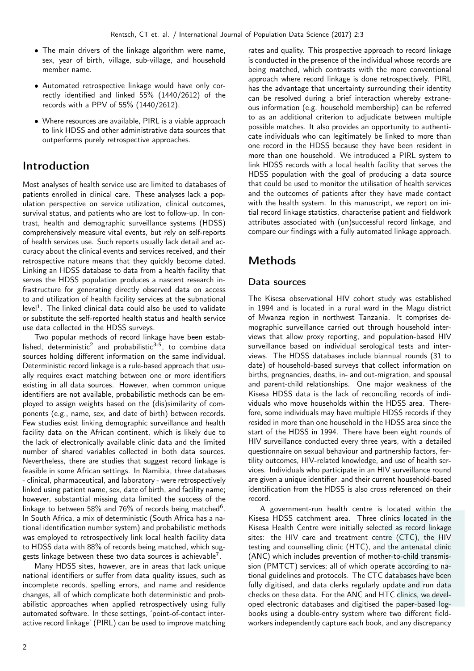- The main drivers of the linkage algorithm were name, sex, year of birth, village, sub-village, and household member name.
- Automated retrospective linkage would have only correctly identified and linked 55% (1440/2612) of the records with a PPV of 55% (1440/2612).
- Where resources are available, PIRL is a viable approach to link HDSS and other administrative data sources that outperforms purely retrospective approaches.

## Introduction

Most analyses of health service use are limited to databases of patients enrolled in clinical care. These analyses lack a population perspective on service utilization, clinical outcomes, survival status, and patients who are lost to follow-up. In contrast, health and demographic surveillance systems (HDSS) comprehensively measure vital events, but rely on self-reports of health services use. Such reports usually lack detail and accuracy about the clinical events and services received, and their retrospective nature means that they quickly become dated. Linking an HDSS database to data from a health facility that serves the HDSS population produces a nascent research infrastructure for generating directly observed data on access to and utilization of health facility services at the subnational level $^1$ . The linked clinical data could also be used to validate or substitute the self-reported health status and health service use data collected in the HDSS surveys.

Two popular methods of record linkage have been established, deterministic<sup>2</sup> and probabilistic $3-5$ , to combine data sources holding different information on the same individual. Deterministic record linkage is a rule-based approach that usually requires exact matching between one or more identifiers existing in all data sources. However, when common unique identifiers are not available, probabilistic methods can be employed to assign weights based on the (dis)similarity of components (e.g., name, sex, and date of birth) between records. Few studies exist linking demographic surveillance and health facility data on the African continent, which is likely due to the lack of electronically available clinic data and the limited number of shared variables collected in both data sources. Nevertheless, there are studies that suggest record linkage is feasible in some African settings. In Namibia, three databases - clinical, pharmaceutical, and laboratory - were retrospectively linked using patient name, sex, date of birth, and facility name; however, substantial missing data limited the success of the linkage to between 58% and 76% of records being matched<sup>6</sup>. In South Africa, a mix of deterministic (South Africa has a national identification number system) and probabilistic methods was employed to retrospectively link local health facility data to HDSS data with 88% of records being matched, which suggests linkage between these two data sources is achievable<sup>7</sup>.

Many HDSS sites, however, are in areas that lack unique national identifiers or suffer from data quality issues, such as incomplete records, spelling errors, and name and residence changes, all of which complicate both deterministic and probabilistic approaches when applied retrospectively using fully automated software. In these settings, 'point-of-contact interactive record linkage' (PIRL) can be used to improve matching

rates and quality. This prospective approach to record linkage is conducted in the presence of the individual whose records are being matched, which contrasts with the more conventional approach where record linkage is done retrospectively. PIRL has the advantage that uncertainty surrounding their identity can be resolved during a brief interaction whereby extraneous information (e.g. household membership) can be referred to as an additional criterion to adjudicate between multiple possible matches. It also provides an opportunity to authenticate individuals who can legitimately be linked to more than one record in the HDSS because they have been resident in more than one household. We introduced a PIRL system to link HDSS records with a local health facility that serves the HDSS population with the goal of producing a data source that could be used to monitor the utilisation of health services and the outcomes of patients after they have made contact with the health system. In this manuscript, we report on initial record linkage statistics, characterise patient and fieldwork attributes associated with (un)successful record linkage, and compare our findings with a fully automated linkage approach.

# Methods

## Data sources

The Kisesa observational HIV cohort study was established in 1994 and is located in a rural ward in the Magu district of Mwanza region in northwest Tanzania. It comprises demographic surveillance carried out through household interviews that allow proxy reporting, and population-based HIV surveillance based on individual serological tests and interviews. The HDSS databases include biannual rounds (31 to date) of household-based surveys that collect information on births, pregnancies, deaths, in- and out-migration, and spousal and parent-child relationships. One major weakness of the Kisesa HDSS data is the lack of reconciling records of individuals who move households within the HDSS area. Therefore, some individuals may have multiple HDSS records if they resided in more than one household in the HDSS area since the start of the HDSS in 1994. There have been eight rounds of HIV surveillance conducted every three years, with a detailed questionnaire on sexual behaviour and partnership factors, fertility outcomes, HIV-related knowledge, and use of health services. Individuals who participate in an HIV surveillance round are given a unique identifier, and their current household-based identification from the HDSS is also cross referenced on their record.

A government-run health centre is located within the Kisesa HDSS catchment area. Three clinics located in the Kisesa Health Centre were initially selected as record linkage sites: the HIV care and treatment centre (CTC), the HIV testing and counselling clinic (HTC), and the antenatal clinic (ANC) which includes prevention of mother-to-child transmission (PMTCT) services; all of which operate according to national guidelines and protocols. The CTC databases have been fully digitised, and data clerks regularly update and run data checks on these data. For the ANC and HTC clinics, we developed electronic databases and digitised the paper-based logbooks using a double-entry system where two different fieldworkers independently capture each book, and any discrepancy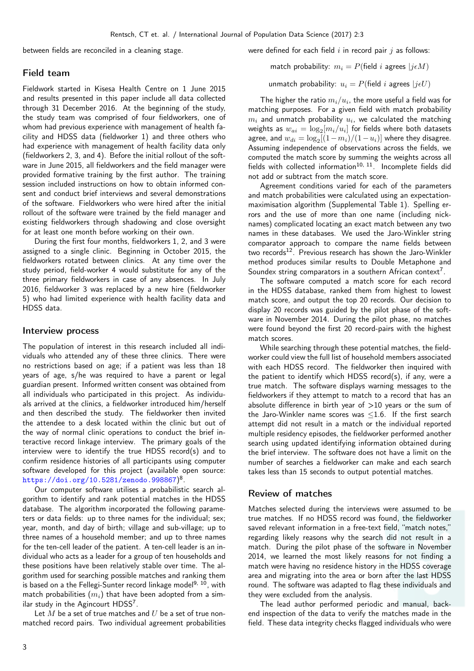between fields are reconciled in a cleaning stage.

#### Field team

Fieldwork started in Kisesa Health Centre on 1 June 2015 and results presented in this paper include all data collected through 31 December 2016. At the beginning of the study, the study team was comprised of four fieldworkers, one of whom had previous experience with management of health facility and HDSS data (fieldworker 1) and three others who had experience with management of health facility data only (fieldworkers 2, 3, and 4). Before the initial rollout of the software in June 2015, all fieldworkers and the field manager were provided formative training by the first author. The training session included instructions on how to obtain informed consent and conduct brief interviews and several demonstrations of the software. Fieldworkers who were hired after the initial rollout of the software were trained by the field manager and existing fieldworkers through shadowing and close oversight for at least one month before working on their own.

During the first four months, fieldworkers 1, 2, and 3 were assigned to a single clinic. Beginning in October 2015, the fieldworkers rotated between clinics. At any time over the study period, field-worker 4 would substitute for any of the three primary fieldworkers in case of any absences. In July 2016, fieldworker 3 was replaced by a new hire (fieldworker 5) who had limited experience with health facility data and HDSS data.

#### Interview process

The population of interest in this research included all individuals who attended any of these three clinics. There were no restrictions based on age; if a patient was less than 18 years of age, s/he was required to have a parent or legal guardian present. Informed written consent was obtained from all individuals who participated in this project. As individuals arrived at the clinics, a fieldworker introduced him/herself and then described the study. The fieldworker then invited the attendee to a desk located within the clinic but out of the way of normal clinic operations to conduct the brief interactive record linkage interview. The primary goals of the interview were to identify the true HDSS record(s) and to confirm residence histories of all participants using computer software developed for this project (available open source: <https://doi.org/10.5281/zenodo.998867>) 8 .

Our computer software utilises a probabilistic search algorithm to identify and rank potential matches in the HDSS database. The algorithm incorporated the following parameters or data fields: up to three names for the individual; sex; year, month, and day of birth; village and sub-village; up to three names of a household member; and up to three names for the ten-cell leader of the patient. A ten-cell leader is an individual who acts as a leader for a group of ten households and these positions have been relatively stable over time. The algorithm used for searching possible matches and ranking them is based on a the Fellegi-Sunter record linkage model<sup>9, 10</sup>, with match probabilities  $(m_i)$  that have been adopted from a similar study in the Agincourt HDSS<sup>7</sup>.

Let  $M$  be a set of true matches and  $U$  be a set of true nonmatched record pairs. Two individual agreement probabilities were defined for each field  $i$  in record pair  $j$  as follows:

match probability:  $m_i = P$ (field *i* agrees  $|i \in M$ )

unmatch probability:  $u_i = P$ (field *i* agrees  $|j \in U$ )

The higher the ratio  $m_i/u_i$ , the more useful a field was for matching purposes. For a given field with match probability  $m_i$  and unmatch probability  $u_i$ , we calculated the matching weights as  $w_{ai} = \log_2[m_i/u_i]$  for fields where both datasets agree, and  $w_{di} = \log_2[(1-m_i)/(1-u_i)]$  where they disagree. Assuming independence of observations across the fields, we computed the match score by summing the weights across all fields with collected information<sup>10, 11</sup>. Incomplete fields did not add or subtract from the match score.

Agreement conditions varied for each of the parameters and match probabilities were calculated using an expectationmaximisation algorithm (Supplemental Table 1). Spelling errors and the use of more than one name (including nicknames) complicated locating an exact match between any two names in these databases. We used the Jaro-Winkler string comparator approach to compare the name fields between two records<sup>12</sup>. Previous research has shown the Jaro-Winkler method produces similar results to Double Metaphone and Soundex string comparators in a southern African context<sup>7</sup>.

The software computed a match score for each record in the HDSS database, ranked them from highest to lowest match score, and output the top 20 records. Our decision to display 20 records was guided by the pilot phase of the software in November 2014. During the pilot phase, no matches were found beyond the first 20 record-pairs with the highest match scores.

While searching through these potential matches, the fieldworker could view the full list of household members associated with each HDSS record. The fieldworker then inquired with the patient to identify which HDSS record(s), if any, were a true match. The software displays warning messages to the fieldworkers if they attempt to match to a record that has an absolute difference in birth year of  $>10$  years or the sum of the Jaro-Winkler name scores was  $\leq$ 1.6. If the first search attempt did not result in a match or the individual reported multiple residency episodes, the fieldworker performed another search using updated identifying information obtained during the brief interview. The software does not have a limit on the number of searches a fieldworker can make and each search takes less than 15 seconds to output potential matches.

#### Review of matches

Matches selected during the interviews were assumed to be true matches. If no HDSS record was found, the fieldworker saved relevant information in a free-text field, "match notes," regarding likely reasons why the search did not result in a match. During the pilot phase of the software in November 2014, we learned the most likely reasons for not finding a match were having no residence history in the HDSS coverage area and migrating into the area or born after the last HDSS round. The software was adapted to flag these individuals and they were excluded from the analysis.

The lead author performed periodic and manual, backend inspection of the data to verify the matches made in the field. These data integrity checks flagged individuals who were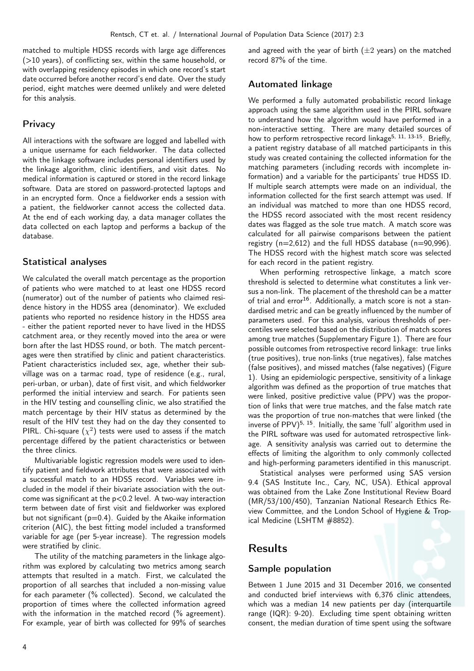matched to multiple HDSS records with large age differences  $(>10$  years), of conflicting sex, within the same household, or with overlapping residency episodes in which one record's start date occurred before another record's end date. Over the study period, eight matches were deemed unlikely and were deleted for this analysis.

## **Privacy**

All interactions with the software are logged and labelled with a unique username for each fieldworker. The data collected with the linkage software includes personal identifiers used by the linkage algorithm, clinic identifiers, and visit dates. No medical information is captured or stored in the record linkage software. Data are stored on password-protected laptops and in an encrypted form. Once a fieldworker ends a session with a patient, the fieldworker cannot access the collected data. At the end of each working day, a data manager collates the data collected on each laptop and performs a backup of the database.

## Statistical analyses

We calculated the overall match percentage as the proportion of patients who were matched to at least one HDSS record (numerator) out of the number of patients who claimed residence history in the HDSS area (denominator). We excluded patients who reported no residence history in the HDSS area - either the patient reported never to have lived in the HDSS catchment area, or they recently moved into the area or were born after the last HDSS round, or both. The match percentages were then stratified by clinic and patient characteristics. Patient characteristics included sex, age, whether their subvillage was on a tarmac road, type of residence (e.g., rural, peri-urban, or urban), date of first visit, and which fieldworker performed the initial interview and search. For patients seen in the HIV testing and counselling clinic, we also stratified the match percentage by their HIV status as determined by the result of the HIV test they had on the day they consented to PIRL. Chi-square  $(\chi^2)$  tests were used to assess if the match percentage differed by the patient characteristics or between the three clinics.

Multivariable logistic regression models were used to identify patient and fieldwork attributes that were associated with a successful match to an HDSS record. Variables were included in the model if their bivariate association with the outcome was significant at the p<0.2 level. A two-way interaction term between date of first visit and fieldworker was explored but not significant ( $p=0.4$ ). Guided by the Akaike information criterion (AIC), the best fitting model included a transformed variable for age (per 5-year increase). The regression models were stratified by clinic.

The utility of the matching parameters in the linkage algorithm was explored by calculating two metrics among search attempts that resulted in a match. First, we calculated the proportion of all searches that included a non-missing value for each parameter (% collected). Second, we calculated the proportion of times where the collected information agreed with the information in the matched record (% agreement). For example, year of birth was collected for 99% of searches

and agreed with the year of birth  $(\pm 2 \text{ years})$  on the matched record 87% of the time.

### Automated linkage

We performed a fully automated probabilistic record linkage approach using the same algorithm used in the PIRL software to understand how the algorithm would have performed in a non-interactive setting. There are many detailed sources of how to perform retrospective record linkage<sup>5, 11, 13-15</sup>. Briefly. a patient registry database of all matched participants in this study was created containing the collected information for the matching parameters (including records with incomplete information) and a variable for the participants' true HDSS ID. If multiple search attempts were made on an individual, the information collected for the first search attempt was used. If an individual was matched to more than one HDSS record, the HDSS record associated with the most recent residency dates was flagged as the sole true match. A match score was calculated for all pairwise comparisons between the patient registry  $(n=2,612)$  and the full HDSS database  $(n=90,996)$ . The HDSS record with the highest match score was selected for each record in the patient registry.

When performing retrospective linkage, a match score threshold is selected to determine what constitutes a link versus a non-link. The placement of the threshold can be a matter of trial and  $error^{16}$ . Additionally, a match score is not a standardised metric and can be greatly influenced by the number of parameters used. For this analysis, various thresholds of percentiles were selected based on the distribution of match scores among true matches (Supplementary Figure 1). There are four possible outcomes from retrospective record linkage: true links (true positives), true non-links (true negatives), false matches (false positives), and missed matches (false negatives) (Figure 1). Using an epidemiologic perspective, sensitivity of a linkage algorithm was defined as the proportion of true matches that were linked, positive predictive value (PPV) was the proportion of links that were true matches, and the false match rate was the proportion of true non-matches that were linked (the inverse of PPV)<sup>5, 15</sup>. Initially, the same 'full' algorithm used in the PIRL software was used for automated retrospective linkage. A sensitivity analysis was carried out to determine the effects of limiting the algorithm to only commonly collected and high-performing parameters identified in this manuscript.

Statistical analyses were performed using SAS version 9.4 (SAS Institute Inc., Cary, NC, USA). Ethical approval was obtained from the Lake Zone Institutional Review Board (MR/53/100/450), Tanzanian National Research Ethics Review Committee, and the London School of Hygiene & Tropical Medicine (LSHTM #8852).

## Results

#### Sample population

Between 1 June 2015 and 31 December 2016, we consented and conducted brief interviews with 6,376 clinic attendees, which was a median 14 new patients per day (interquartile range (IQR): 9-20). Excluding time spent obtaining written consent, the median duration of time spent using the software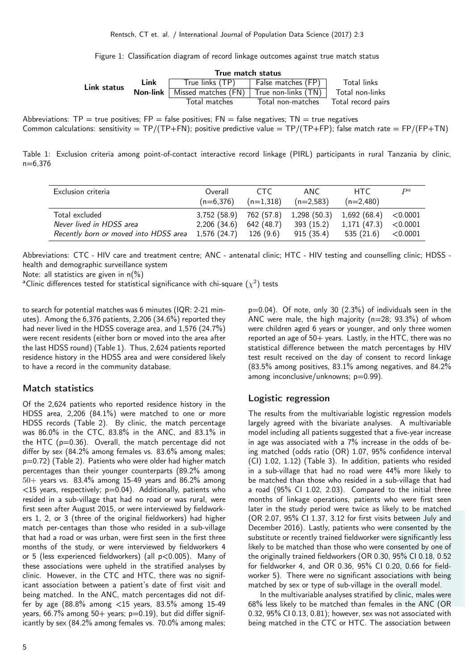Figure 1: Classification diagram of record linkage outcomes against true match status

|             |          | True match status                       |                    |                    |
|-------------|----------|-----------------------------------------|--------------------|--------------------|
| Link status | Link     | True links $(TP)$                       | False matches (FP) | Total links        |
|             | Non-link | Missed matches (FN) True non-links (TN) |                    | Total non-links    |
|             |          | Total matches                           | Total non-matches  | Total record pairs |

Abbreviations: TP = true positives; FP = false positives; FN = false negatives; TN = true negatives Common calculations: sensitivity = TP/(TP+FN); positive predictive value = TP/(TP+FP); false match rate = FP/(FP+TN)

Table 1: Exclusion criteria among point-of-contact interactive record linkage (PIRL) participants in rural Tanzania by clinic, n=6,376

| Exclusion criteria                    | Overall<br>$(n=6.376)$  | CTC.<br>$(n=1,318)$ | ANC<br>$(n=2,583)$                   | HTC.<br>$(n=2,480)$ | $\mathbf{p}$ |
|---------------------------------------|-------------------------|---------------------|--------------------------------------|---------------------|--------------|
| Total excluded                        | 3,752 (58.9)            |                     | 762 (57.8) 1,298 (50.3) 1,692 (68.4) |                     | $<$ 0.0001   |
| Never lived in HDSS area              | $2,206$ $(34.6)$        | 642 (48.7)          | 393 (15.2)                           | 1,171(47.3)         | < 0.0001     |
| Recently born or moved into HDSS area | $1,576(24.7)$ 126 (9.6) |                     | 915(35.4)                            | 535(21.6)           | < 0.0001     |

Abbreviations: CTC - HIV care and treatment centre; ANC - antenatal clinic; HTC - HIV testing and counselling clinic; HDSS health and demographic surveillance system

Note: all statistics are given in n(%)

 $^{\sf a}$ Clinic differences tested for statistical significance with chi-square  $(\chi^2)$  tests

to search for potential matches was 6 minutes (IQR: 2-21 minutes). Among the 6,376 patients, 2,206 (34.6%) reported they had never lived in the HDSS coverage area, and 1,576 (24.7%) were recent residents (either born or moved into the area after the last HDSS round) (Table 1). Thus, 2,624 patients reported residence history in the HDSS area and were considered likely to have a record in the community database.

#### Match statistics

Of the 2,624 patients who reported residence history in the HDSS area, 2,206 (84.1%) were matched to one or more HDSS records (Table 2). By clinic, the match percentage was 86.0% in the CTC, 83.8% in the ANC, and 83.1% in the HTC ( $p=0.36$ ). Overall, the match percentage did not differ by sex (84.2% among females vs. 83.6% among males; p=0.72) (Table 2). Patients who were older had higher match percentages than their younger counterparts (89.2% among  $50+$  years vs.  $83.4\%$  among 15-49 years and  $86.2\%$  among  $<$ 15 years, respectively; p=0.04). Additionally, patients who resided in a sub-village that had no road or was rural, were first seen after August 2015, or were interviewed by fieldworkers 1, 2, or 3 (three of the original fieldworkers) had higher match per-centages than those who resided in a sub-village that had a road or was urban, were first seen in the first three months of the study, or were interviewed by fieldworkers 4 or 5 (less experienced fieldworkers) (all p<0.005). Many of these associations were upheld in the stratified analyses by clinic. However, in the CTC and HTC, there was no significant association between a patient's date of first visit and being matched. In the ANC, match percentages did not differ by age (88.8% among <15 years, 83.5% among 15-49 years,  $66.7\%$  among  $50+$  years;  $p=0.19$ ), but did differ significantly by sex (84.2% among females vs. 70.0% among males;

p=0.04). Of note, only 30 (2.3%) of individuals seen in the ANC were male, the high majority  $(n=28; 93.3%)$  of whom were children aged 6 years or younger, and only three women reported an age of 50+ years. Lastly, in the HTC, there was no statistical difference between the match percentages by HIV test result received on the day of consent to record linkage (83.5% among positives, 83.1% among negatives, and 84.2% among inconclusive/unknowns: p=0.99).

## Logistic regression

The results from the multivariable logistic regression models largely agreed with the bivariate analyses. A multivariable model including all patients suggested that a five-year increase in age was associated with a 7% increase in the odds of being matched (odds ratio (OR) 1.07, 95% confidence interval (CI) 1.02, 1.12) (Table 3). In addition, patients who resided in a sub-village that had no road were 44% more likely to be matched than those who resided in a sub-village that had a road (95% CI 1.02, 2.03). Compared to the initial three months of linkage operations, patients who were first seen later in the study period were twice as likely to be matched (OR 2.07, 95% CI 1.37, 3.12 for first visits between July and December 2016). Lastly, patients who were consented by the substitute or recently trained fieldworker were significantly less likely to be matched than those who were consented by one of the originally trained fieldworkers (OR 0.30, 95% CI 0.18, 0.52 for fieldworker 4, and OR 0.36, 95% CI 0.20, 0.66 for fieldworker 5). There were no significant associations with being matched by sex or type of sub-village in the overall model.

In the multivariable analyses stratified by clinic, males were 68% less likely to be matched than females in the ANC (OR 0.32, 95% CI 0.13, 0.81); however, sex was not associated with being matched in the CTC or HTC. The association between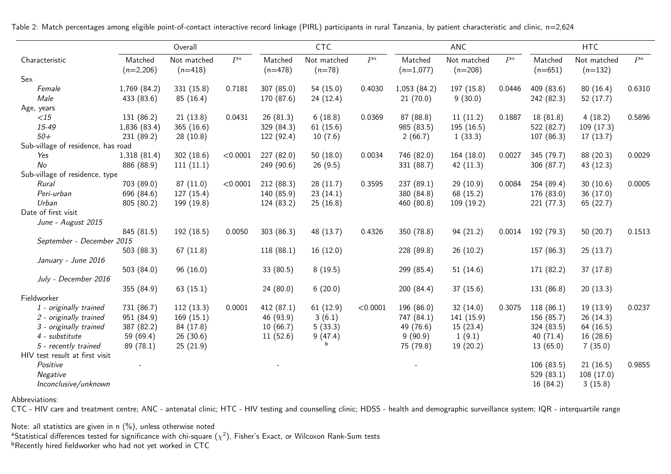|                                    |                        | Overall                  |          |                      | CTC                     |          |                        | ANC                      |        |                      | <b>HTC</b>               |        |
|------------------------------------|------------------------|--------------------------|----------|----------------------|-------------------------|----------|------------------------|--------------------------|--------|----------------------|--------------------------|--------|
| Characteristic                     | Matched<br>$(n=2,206)$ | Not matched<br>$(n=418)$ | $P^a$    | Matched<br>$(n=478)$ | Not matched<br>$(n=78)$ | $P^a$    | Matched<br>$(n=1,077)$ | Not matched<br>$(n=208)$ | $P^a$  | Matched<br>$(n=651)$ | Not matched<br>$(n=132)$ | $P^a$  |
| Sex                                |                        |                          |          |                      |                         |          |                        |                          |        |                      |                          |        |
| Female                             | 1,769 (84.2)           | 331 (15.8)               | 0.7181   | 307 (85.0)           | 54(15.0)                | 0.4030   | 1,053(84.2)            | 197 (15.8)               | 0.0446 | 409 (83.6)           | 80(16.4)                 | 0.6310 |
| Male                               | 433 (83.6)             | 85(16.4)                 |          | 170 (87.6)           | 24(12.4)                |          | 21(70.0)               | 9(30.0)                  |        | 242 (82.3)           | 52(17.7)                 |        |
| Age, years                         |                        |                          |          |                      |                         |          |                        |                          |        |                      |                          |        |
| $\langle 15$                       | 131 (86.2)             | 21(13.8)                 | 0.0431   | 26(81.3)             | 6(18.8)                 | 0.0369   | 87 (88.8)              | 11(11.2)                 | 0.1887 | 18 (81.8)            | 4(18.2)                  | 0.5896 |
| 15-49                              | 1,836 (83.4)           | 365(16.6)                |          | 329 (84.3)           | 61(15.6)                |          | 985 (83.5)             | 195(16.5)                |        | 522 (82.7)           | 109(17.3)                |        |
| $50+$                              | 231 (89.2)             | 28(10.8)                 |          | 122 (92.4)           | 10(7.6)                 |          | 2(66.7)                | 1(33.3)                  |        | 107 (86.3)           | 17(13.7)                 |        |
| Sub-village of residence, has road |                        |                          |          |                      |                         |          |                        |                          |        |                      |                          |        |
| Yes                                | 1,318(81.4)            | 302(18.6)                | < 0.0001 | 227 (82.0)           | 50(18.0)                | 0.0034   | 746 (82.0)             | 164(18.0)                | 0.0027 | 345 (79.7)           | 88 (20.3)                | 0.0029 |
| No                                 | 886 (88.9)             | 111(11.1)                |          | 249 (90.6)           | 26(9.5)                 |          | 331 (88.7)             | 42 $(11.3)$              |        | 306 (87.7)           | 43 (12.3)                |        |
| Sub-village of residence, type     |                        |                          |          |                      |                         |          |                        |                          |        |                      |                          |        |
| Rural                              | 703 (89.0)             | 87(11.0)                 | < 0.0001 | 212 (88.3)           | 28(11.7)                | 0.3595   | 237 (89.1)             | 29 (10.9)                | 0.0084 | 254 (89.4)           | 30(10.6)                 | 0.0005 |
| Peri-urban                         | 696 (84.6)             | 127(15.4)                |          | 140 (85.9)           | 23(14.1)                |          | 380 (84.8)             | 68 (15.2)                |        | 176 (83.0)           | 36(17.0)                 |        |
| Urban                              | 805 (80.2)             | 199 (19.8)               |          | 124 (83.2)           | 25(16.8)                |          | 460 (80.8)             | 109(19.2)                |        | 221(77.3)            | 65 (22.7)                |        |
| Date of first visit                |                        |                          |          |                      |                         |          |                        |                          |        |                      |                          |        |
| June - August 2015                 |                        |                          |          |                      |                         |          |                        |                          |        |                      |                          |        |
|                                    | 845 (81.5)             | 192(18.5)                | 0.0050   | 303(86.3)            | 48 (13.7)               | 0.4326   | 350 (78.8)             | 94(21.2)                 | 0.0014 | 192 (79.3)           | 50 $(20.7)$              | 0.1513 |
| September - December 2015          |                        |                          |          |                      |                         |          |                        |                          |        |                      |                          |        |
|                                    | 503(88.3)              | 67(11.8)                 |          | 118(88.1)            | 16(12.0)                |          | 228 (89.8)             | 26(10.2)                 |        | 157 (86.3)           | 25(13.7)                 |        |
| January - June 2016                |                        |                          |          |                      |                         |          |                        |                          |        |                      |                          |        |
|                                    | 503 $(84.0)$           | 96(16.0)                 |          | 33(80.5)             | 8(19.5)                 |          | 299 (85.4)             | 51(14.6)                 |        | 171 (82.2)           | 37(17.8)                 |        |
| July - December 2016               |                        |                          |          |                      |                         |          |                        |                          |        |                      |                          |        |
|                                    | 355 (84.9)             | 63(15.1)                 |          | 24(80.0)             | 6(20.0)                 |          | 200(84.4)              | 37(15.6)                 |        | 131 (86.8)           | 20(13.3)                 |        |
| Fieldworker                        |                        |                          |          |                      |                         |          |                        |                          |        |                      |                          |        |
| 1 - originally trained             | 731 (86.7)             | 112(13.3)                | 0.0001   | 412 (87.1)           | 61(12.9)                | < 0.0001 | 196 (86.0)             | 32(14.0)                 | 0.3075 | 118(86.1)            | 19(13.9)                 | 0.0237 |
| 2 - originally trained             | 951 (84.9)             | 169(15.1)                |          | 46 (93.9)            | 3(6.1)                  |          | 747 (84.1)             | 141(15.9)                |        | 156 (85.7)           | 26(14.3)                 |        |
| 3 - originally trained             | 387 (82.2)             | 84 (17.8)                |          | 10(66.7)             | 5(33.3)                 |          | 49 (76.6)              | 15(23.4)                 |        | 324 (83.5)           | 64 (16.5)                |        |
| 4 - substitute                     | 59 (69.4)              | 26(30.6)                 |          | 11(52.6)             | 9(47.4)                 |          | 9(90.9)                | 1(9.1)                   |        | 40(71.4)             | 16(28.6)                 |        |
| 5 - recently trained               | 89 (78.1)              | 25(21.9)                 |          |                      |                         |          | 75 (79.8)              | 19(20.2)                 |        | 13(65.0)             | 7(35.0)                  |        |
| HIV test result at first visit     |                        |                          |          |                      |                         |          |                        |                          |        |                      |                          |        |
| Positive                           |                        |                          |          |                      |                         |          |                        |                          |        | 106(83.5)            | 21(16.5)                 | 0.9855 |
| Negative                           |                        |                          |          |                      |                         |          |                        |                          |        | 529 (83.1)           | 108 (17.0)               |        |
| Inconclusive/unknown               |                        |                          |          |                      |                         |          |                        |                          |        | 16 (84.2)            | 3(15.8)                  |        |

Table 2: Match percentages among eligible point-of-contact interactive record linkage (PIRL) participants in rural Tanzania, by patient characteristic and clinic, n=2,624

Abbreviations:

CTC - HIV care and treatment centre; ANC - antenatal clinic; HTC - HIV testing and counselling clinic; HDSS - health and demographic surveillance system; IQR - interquartile range

Note: all statistics are given in n (%), unless otherwise noted $^{\rm a}$ Statistical differences tested for significance with chi-square ( $\chi^2$ ), Fisher's Exact, or Wilcoxon Rank-Sum tests **bRecently hired fieldworker who had not yet worked in CTC**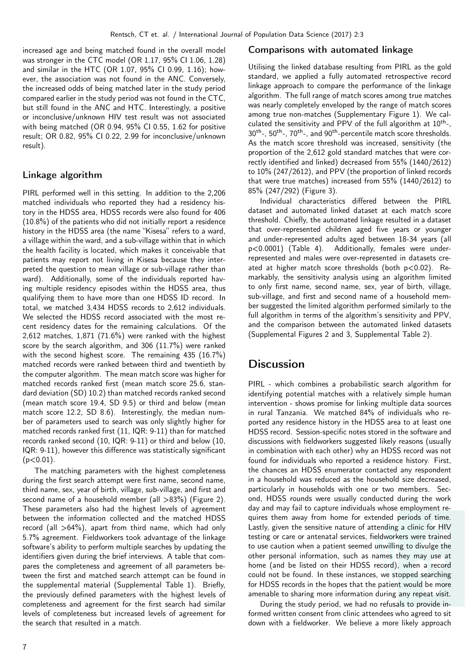increased age and being matched found in the overall model was stronger in the CTC model (OR 1.17, 95% CI 1.06, 1.28) and similar in the HTC (OR 1.07, 95% CI 0.99, 1.16); however, the association was not found in the ANC. Conversely, the increased odds of being matched later in the study period compared earlier in the study period was not found in the CTC, but still found in the ANC and HTC. Interestingly, a positive or inconclusive/unknown HIV test result was not associated with being matched (OR 0.94, 95% CI 0.55, 1.62 for positive result; OR 0.82, 95% CI 0.22, 2.99 for inconclusive/unknown result).

## Linkage algorithm

PIRL performed well in this setting. In addition to the 2,206 matched individuals who reported they had a residency history in the HDSS area, HDSS records were also found for 406 (10.8%) of the patients who did not initially report a residence history in the HDSS area (the name "Kisesa" refers to a ward, a village within the ward, and a sub-village within that in which the health facility is located, which makes it conceivable that patients may report not living in Kisesa because they interpreted the question to mean village or sub-village rather than ward). Additionally, some of the individuals reported having multiple residency episodes within the HDSS area, thus qualifying them to have more than one HDSS ID record. In total, we matched 3,434 HDSS records to 2,612 individuals. We selected the HDSS record associated with the most recent residency dates for the remaining calculations. Of the 2,612 matches, 1,871 (71.6%) were ranked with the highest score by the search algorithm, and 306 (11.7%) were ranked with the second highest score. The remaining 435 (16.7%) matched records were ranked between third and twentieth by the computer algorithm. The mean match score was higher for matched records ranked first (mean match score 25.6, standard deviation (SD) 10.2) than matched records ranked second (mean match score 19.4, SD 9.5) or third and below (mean match score 12.2, SD 8.6). Interestingly, the median number of parameters used to search was only slightly higher for matched records ranked first (11, IQR: 9-11) than for matched records ranked second (10, IQR: 9-11) or third and below (10, IQR: 9-11), however this difference was statistically significant  $(p<0.01)$ .

The matching parameters with the highest completeness during the first search attempt were first name, second name, third name, sex, year of birth, village, sub-village, and first and second name of a household member (all >83%) (Figure 2). These parameters also had the highest levels of agreement between the information collected and the matched HDSS record (all  $>64\%$ ), apart from third name, which had only 5.7% agreement. Fieldworkers took advantage of the linkage software's ability to perform multiple searches by updating the identifiers given during the brief interviews. A table that compares the completeness and agreement of all parameters between the first and matched search attempt can be found in the supplemental material (Supplemental Table 1). Briefly, the previously defined parameters with the highest levels of completeness and agreement for the first search had similar levels of completeness but increased levels of agreement for the search that resulted in a match.

#### Comparisons with automated linkage

Utilising the linked database resulting from PIRL as the gold standard, we applied a fully automated retrospective record linkage approach to compare the performance of the linkage algorithm. The full range of match scores among true matches was nearly completely enveloped by the range of match scores among true non-matches (Supplementary Figure 1). We calculated the sensitivity and PPV of the full algorithm at  $10^{th}$ -, 30<sup>th</sup>-, 50<sup>th</sup>-, 70<sup>th</sup>-, and 90<sup>th</sup>-percentile match score thresholds. As the match score threshold was increased, sensitivity (the proportion of the 2,612 gold standard matches that were correctly identified and linked) decreased from 55% (1440/2612) to 10% (247/2612), and PPV (the proportion of linked records that were true matches) increased from 55% (1440/2612) to 85% (247/292) (Figure 3).

Individual characteristics differed between the PIRL dataset and automated linked dataset at each match score threshold. Chiefly, the automated linkage resulted in a dataset that over-represented children aged five years or younger and under-represented adults aged between 18-34 years (all p<0.0001) (Table 4). Additionally, females were underrepresented and males were over-represented in datasets created at higher match score thresholds (both p<0.02). Remarkably, the sensitivity analysis using an algorithm limited to only first name, second name, sex, year of birth, village, sub-village, and first and second name of a household member suggested the limited algorithm performed similarly to the full algorithm in terms of the algorithm's sensitivity and PPV, and the comparison between the automated linked datasets (Supplemental Figures 2 and 3, Supplemental Table 2).

# **Discussion**

PIRL - which combines a probabilistic search algorithm for identifying potential matches with a relatively simple human intervention - shows promise for linking multiple data sources in rural Tanzania. We matched 84% of individuals who reported any residence history in the HDSS area to at least one HDSS record. Session-specific notes stored in the software and discussions with fieldworkers suggested likely reasons (usually in combination with each other) why an HDSS record was not found for individuals who reported a residence history. First, the chances an HDSS enumerator contacted any respondent in a household was reduced as the household size decreased, particularly in households with one or two members. Second, HDSS rounds were usually conducted during the work day and may fail to capture individuals whose employment requires them away from home for extended periods of time. Lastly, given the sensitive nature of attending a clinic for HIV testing or care or antenatal services, fieldworkers were trained to use caution when a patient seemed unwilling to divulge the other personal information, such as names they may use at home (and be listed on their HDSS record), when a record could not be found. In these instances, we stopped searching for HDSS records in the hopes that the patient would be more amenable to sharing more information during any repeat visit.

During the study period, we had no refusals to provide informed written consent from clinic attendees who agreed to sit down with a fieldworker. We believe a more likely approach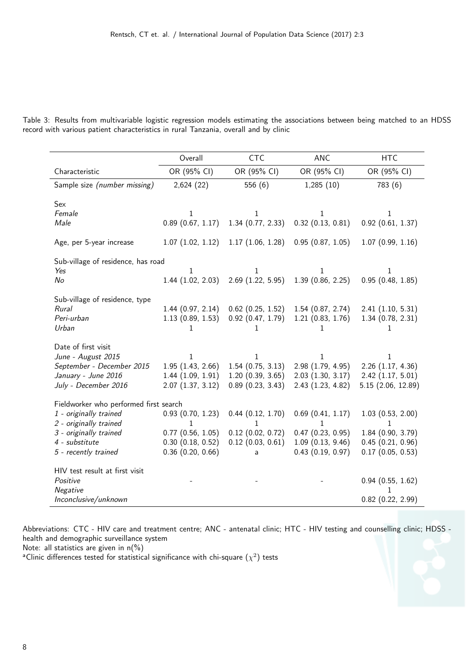|  | Table 3: Results from multivariable logistic regression models estimating the associations between being matched to an HDSS |  |  |  |  |  |  |
|--|-----------------------------------------------------------------------------------------------------------------------------|--|--|--|--|--|--|
|  | record with various patient characteristics in rural Tanzania, overall and by clinic                                        |  |  |  |  |  |  |

|                                              | Overall                              | <b>CTC</b>                                 | <b>ANC</b>                           | <b>HTC</b>                                     |
|----------------------------------------------|--------------------------------------|--------------------------------------------|--------------------------------------|------------------------------------------------|
| Characteristic                               | OR (95% CI)                          | OR (95% CI)                                | OR (95% CI)                          | OR (95% CI)                                    |
| Sample size (number missing)                 | 2,624(22)                            | 556 (6)                                    | 1,285(10)                            | 783 (6)                                        |
| Sex                                          |                                      |                                            |                                      |                                                |
| Female                                       | 1                                    | 1                                          | $\mathbf{1}$                         | 1                                              |
| Male                                         | 0.89(0.67, 1.17)                     | 1.34(0.77, 2.33)                           | $0.32$ $(0.13, 0.81)$                | $0.92$ (0.61, 1.37)                            |
| Age, per 5-year increase                     | 1.07(1.02, 1.12)                     | 1.17(1.06, 1.28)                           | 0.95(0.87, 1.05)                     | 1.07(0.99, 1.16)                               |
| Sub-village of residence, has road           |                                      |                                            |                                      |                                                |
| Yes                                          | 1                                    | 1                                          | 1                                    | 1                                              |
| No                                           | 1.44(1.02, 2.03)                     | $2.69$ $(1.22, 5.95)$                      | 1.39(0.86, 2.25)                     | 0.95(0.48, 1.85)                               |
| Sub-village of residence, type               |                                      |                                            |                                      |                                                |
| Rural                                        | 1.44(0.97, 2.14)                     | $0.62$ (0.25, 1.52)                        | 1.54(0.87, 2.74)                     | 2.41(1.10, 5.31)                               |
| Peri-urban                                   | 1.13(0.89, 1.53)                     | $0.92$ $(0.47, 1.79)$                      | 1.21(0.83, 1.76)                     | 1.34(0.78, 2.31)                               |
| Urban                                        | 1                                    | 1                                          | 1                                    | 1                                              |
| Date of first visit                          |                                      |                                            |                                      |                                                |
| June - August 2015                           | 1                                    | 1                                          | 1                                    | 1                                              |
| September - December 2015                    | 1.95(1.43, 2.66)                     | 1.54(0.75, 3.13)                           | 2.98 (1.79, 4.95)                    | $2.26$ $(1.17, 4.36)$                          |
| January - June 2016                          | 1.44(1.09, 1.91)                     | 1.20(0.39, 3.65)                           | 2.03(1.30, 3.17)                     | 2.42(1.17, 5.01)                               |
| July - December 2016                         | 2.07(1.37, 3.12)                     | 0.89(0.23, 3.43)                           | 2.43 (1.23, 4.82)                    | 5.15 (2.06, 12.89)                             |
| Fieldworker who performed first search       |                                      |                                            |                                      |                                                |
| 1 - originally trained                       | 0.93(0.70, 1.23)                     | 0.44(0.12, 1.70)                           | $0.69$ $(0.41, 1.17)$                | 1.03(0.53, 2.00)                               |
| 2 - originally trained                       | 1                                    | 1                                          | 1                                    | 1                                              |
| 3 - originally trained<br>4 - substitute     | 0.77(0.56, 1.05)<br>0.30(0.18, 0.52) | $0.12$ (0.02, 0.72)<br>$0.12$ (0.03, 0.61) | 0.47(0.23, 0.95)<br>1.09(0.13, 9.46) | 1.84 (0.90, 3.79)<br>0.45(0.21, 0.96)          |
| 5 - recently trained                         | $0.36$ $(0.20, 0.66)$                | a                                          | 0.43(0.19, 0.97)                     | 0.17(0.05, 0.53)                               |
|                                              |                                      |                                            |                                      |                                                |
| HIV test result at first visit               |                                      |                                            |                                      |                                                |
|                                              |                                      |                                            |                                      |                                                |
|                                              |                                      |                                            |                                      |                                                |
| Positive<br>Negative<br>Inconclusive/unknown |                                      |                                            |                                      | $0.94$ $(0.55, 1.62)$<br>$0.82$ $(0.22, 2.99)$ |

Abbreviations: CTC - HIV care and treatment centre; ANC - antenatal clinic; HTC - HIV testing and counselling clinic; HDSS health and demographic surveillance system

Note: all statistics are given in  $n(\%)$ 

 $^{\sf a}$ Clinic differences tested for statistical significance with chi-square  $(\chi^2)$  tests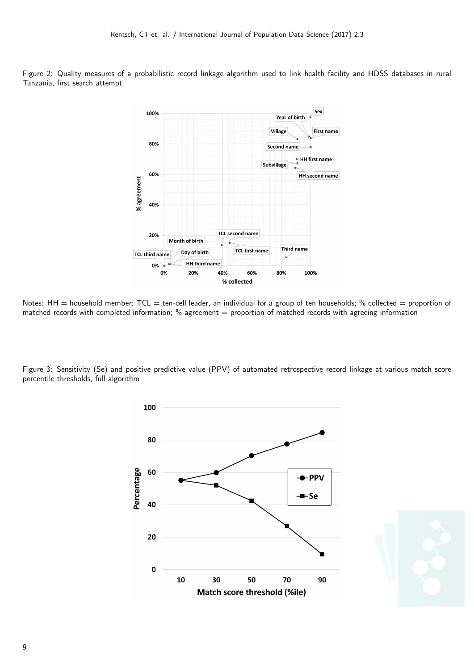Figure 2: Quality measures of a probabilistic record linkage algorithm used to link health facility and HDSS databases in rural Tanzania, first search attempt



Notes:  $HH =$  household member;  $TCL =$  ten-cell leader, an individual for a group of ten households; % collected = proportion of matched records with completed information;  $%$  agreement = proportion of matched records with agreeing information

Figure 3: Sensitivity (Se) and positive predictive value (PPV) of automated retrospective record linkage at various match score percentile thresholds, full algorithm



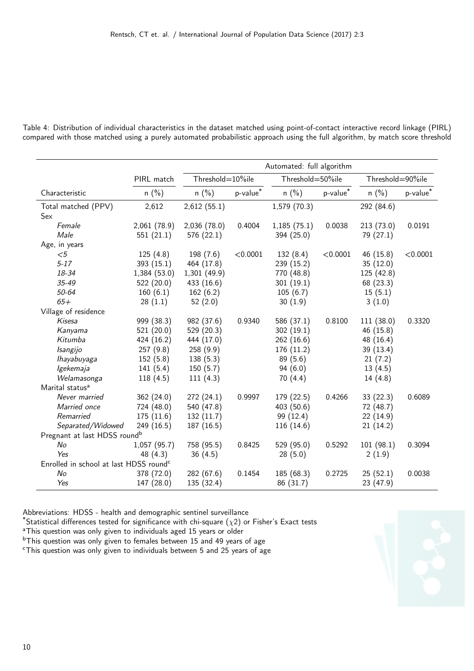|                                                    | Automated: full algorithm |                  |                    |                  |          |                  |          |  |
|----------------------------------------------------|---------------------------|------------------|--------------------|------------------|----------|------------------|----------|--|
|                                                    | PIRL match                | Threshold=10%ile |                    | Threshold=50%ile |          | Threshold=90%ile |          |  |
| Characteristic                                     | $n$ (%)                   | $n$ (%)          | $p$ -value $^\ast$ | $n$ (%)          | p-value* | $n$ (%)          | p-value* |  |
| Total matched (PPV)                                | 2,612                     | 2,612(55.1)      |                    | 1,579(70.3)      |          | 292 (84.6)       |          |  |
| Sex                                                |                           |                  |                    |                  |          |                  |          |  |
| Female                                             | 2,061(78.9)               | 2,036(78.0)      | 0.4004             | 1,185(75.1)      | 0.0038   | 213(73.0)        | 0.0191   |  |
| Male                                               | 551(21.1)                 | 576 (22.1)       |                    | 394 (25.0)       |          | 79 (27.1)        |          |  |
| Age, in years                                      |                           |                  |                    |                  |          |                  |          |  |
| $< \! 5$                                           | 125(4.8)                  | 198(7.6)         | < 0.0001           | 132(8.4)         | < 0.0001 | 46 (15.8)        | < 0.0001 |  |
| $5 - 17$                                           | 393(15.1)                 | 464 (17.8)       |                    | 239(15.2)        |          | 35(12.0)         |          |  |
| 18-34                                              | 1,384(53.0)               | 1,301(49.9)      |                    | 770 (48.8)       |          | 125 (42.8)       |          |  |
| $35 - 49$                                          | 522(20.0)                 | 433 (16.6)       |                    | 301(19.1)        |          | 68 (23.3)        |          |  |
| 50-64                                              | 160(6.1)                  | 162(6.2)         |                    | 105(6.7)         |          | 15(5.1)          |          |  |
| $65+$                                              | 28(1.1)                   | 52(2.0)          |                    | 30(1.9)          |          | 3(1.0)           |          |  |
| Village of residence                               |                           |                  |                    |                  |          |                  |          |  |
| Kisesa                                             | 999 (38.3)                | 982 (37.6)       | 0.9340             | 586 (37.1)       | 0.8100   | 111(38.0)        | 0.3320   |  |
| Kanyama                                            | 521(20.0)                 | 529 (20.3)       |                    | 302(19.1)        |          | 46 (15.8)        |          |  |
| Kitumba                                            | 424 (16.2)                | 444 (17.0)       |                    | 262(16.6)        |          | 48 (16.4)        |          |  |
| Isangijo                                           | 257(9.8)                  | 258(9.9)         |                    | 176 (11.2)       |          | 39 (13.4)        |          |  |
| lhayabuyaga                                        | 152(5.8)                  | 138(5.3)         |                    | 89(5.6)          |          | 21(7.2)          |          |  |
| Igekemaja                                          | 141(5.4)                  | 150(5.7)         |                    | 94(6.0)          |          | 13(4.5)          |          |  |
| Welamasonga                                        | 118(4.5)                  | 111(4.3)         |                    | 70(4.4)          |          | 14(4.8)          |          |  |
| Marital status <sup>a</sup>                        |                           |                  |                    |                  |          |                  |          |  |
| Never married                                      | 362 (24.0)                | 272 (24.1)       | 0.9997             | 179 (22.5)       | 0.4266   | 33(22.3)         | 0.6089   |  |
| Married once                                       | 724 (48.0)                | 540 (47.8)       |                    | 403(50.6)        |          | 72 (48.7)        |          |  |
| Remarried                                          | 175(11.6)                 | 132(11.7)        |                    | 99 (12.4)        |          | 22(14.9)         |          |  |
| Separated/Widowed                                  | 249 (16.5)                | 187 (16.5)       |                    | 116(14.6)        |          | 21(14.2)         |          |  |
| Pregnant at last HDSS round <sup>b</sup>           |                           |                  |                    |                  |          |                  |          |  |
| No                                                 | 1,057(95.7)               | 758 (95.5)       | 0.8425             | 529(95.0)        | 0.5292   | 101(98.1)        | 0.3094   |  |
| Yes                                                | 48 (4.3)                  | 36(4.5)          |                    | 28(5.0)          |          | 2(1.9)           |          |  |
| Enrolled in school at last HDSS round <sup>c</sup> |                           |                  |                    |                  |          |                  |          |  |
| No                                                 | 378 (72.0)                | 282 (67.6)       | 0.1454             | 185 (68.3)       | 0.2725   | 25(52.1)         | 0.0038   |  |
| Yes                                                | 147 (28.0)                | 135 (32.4)       |                    | 86 (31.7)        |          | 23 (47.9)        |          |  |

Table 4: Distribution of individual characteristics in the dataset matched using point-of-contact interactive record linkage (PIRL) compared with those matched using a purely automated probabilistic approach using the full algorithm, by match score threshold

Abbreviations: HDSS - health and demographic sentinel surveillance

\*Statistical differences tested for significance with chi-square ( $\chi$ 2) or Fisher's Exact tests

<sup>a</sup>This question was only given to individuals aged 15 years or older

<sup>b</sup>This question was only given to females between 15 and 49 years of age

<sup>c</sup>This question was only given to individuals between 5 and 25 years of age

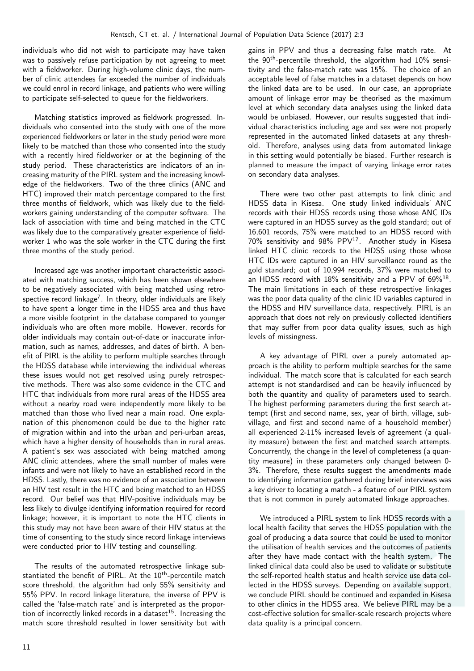individuals who did not wish to participate may have taken was to passively refuse participation by not agreeing to meet with a fieldworker. During high-volume clinic days, the number of clinic attendees far exceeded the number of individuals we could enrol in record linkage, and patients who were willing to participate self-selected to queue for the fieldworkers.

Matching statistics improved as fieldwork progressed. Individuals who consented into the study with one of the more experienced fieldworkers or later in the study period were more likely to be matched than those who consented into the study with a recently hired fieldworker or at the beginning of the study period. These characteristics are indicators of an increasing maturity of the PIRL system and the increasing knowledge of the fieldworkers. Two of the three clinics (ANC and HTC) improved their match percentage compared to the first three months of fieldwork, which was likely due to the fieldworkers gaining understanding of the computer software. The lack of association with time and being matched in the CTC was likely due to the comparatively greater experience of fieldworker 1 who was the sole worker in the CTC during the first three months of the study period.

Increased age was another important characteristic associated with matching success, which has been shown elsewhere to be negatively associated with being matched using retrospective record linkage<sup>7</sup> . In theory, older individuals are likely to have spent a longer time in the HDSS area and thus have a more visible footprint in the database compared to younger individuals who are often more mobile. However, records for older individuals may contain out-of-date or inaccurate information, such as names, addresses, and dates of birth. A benefit of PIRL is the ability to perform multiple searches through the HDSS database while interviewing the individual whereas these issues would not get resolved using purely retrospective methods. There was also some evidence in the CTC and HTC that individuals from more rural areas of the HDSS area without a nearby road were independently more likely to be matched than those who lived near a main road. One explanation of this phenomenon could be due to the higher rate of migration within and into the urban and peri-urban areas, which have a higher density of households than in rural areas. A patient's sex was associated with being matched among ANC clinic attendees, where the small number of males were infants and were not likely to have an established record in the HDSS. Lastly, there was no evidence of an association between an HIV test result in the HTC and being matched to an HDSS record. Our belief was that HIV-positive individuals may be less likely to divulge identifying information required for record linkage; however, it is important to note the HTC clients in this study may not have been aware of their HIV status at the time of consenting to the study since record linkage interviews were conducted prior to HIV testing and counselling.

The results of the automated retrospective linkage substantiated the benefit of PIRL. At the 10<sup>th</sup>-percentile match score threshold, the algorithm had only 55% sensitivity and 55% PPV. In record linkage literature, the inverse of PPV is called the 'false-match rate' and is interpreted as the proportion of incorrectly linked records in a dataset<sup>15</sup>. Increasing the match score threshold resulted in lower sensitivity but with

gains in PPV and thus a decreasing false match rate. At the 90<sup>th</sup>-percentile threshold, the algorithm had 10% sensitivity and the false-match rate was 15%. The choice of an acceptable level of false matches in a dataset depends on how the linked data are to be used. In our case, an appropriate amount of linkage error may be theorised as the maximum level at which secondary data analyses using the linked data would be unbiased. However, our results suggested that individual characteristics including age and sex were not properly represented in the automated linked datasets at any threshold. Therefore, analyses using data from automated linkage in this setting would potentially be biased. Further research is planned to measure the impact of varying linkage error rates on secondary data analyses.

There were two other past attempts to link clinic and HDSS data in Kisesa. One study linked individuals' ANC records with their HDSS records using those whose ANC IDs were captured in an HDSS survey as the gold standard; out of 16,601 records, 75% were matched to an HDSS record with  $70\%$  sensitivity and  $98\%$  PPV<sup>17</sup>. Another study in Kisesa linked HTC clinic records to the HDSS using those whose HTC IDs were captured in an HIV surveillance round as the gold standard; out of 10,994 records, 37% were matched to an HDSS record with 18% sensitivity and a PPV of 69%<sup>18</sup>. The main limitations in each of these retrospective linkages was the poor data quality of the clinic ID variables captured in the HDSS and HIV surveillance data, respectively. PIRL is an approach that does not rely on previously collected identifiers that may suffer from poor data quality issues, such as high levels of missingness.

A key advantage of PIRL over a purely automated approach is the ability to perform multiple searches for the same individual. The match score that is calculated for each search attempt is not standardised and can be heavily influenced by both the quantity and quality of parameters used to search. The highest performing parameters during the first search attempt (first and second name, sex, year of birth, village, subvillage, and first and second name of a household member) all experienced 2-11% increased levels of agreement (a quality measure) between the first and matched search attempts. Concurrently, the change in the level of completeness (a quantity measure) in these parameters only changed between 0- 3%. Therefore, these results suggest the amendments made to identifying information gathered during brief interviews was a key driver to locating a match - a feature of our PIRL system that is not common in purely automated linkage approaches.

We introduced a PIRL system to link HDSS records with a local health facility that serves the HDSS population with the goal of producing a data source that could be used to monitor the utilisation of health services and the outcomes of patients after they have made contact with the health system. The linked clinical data could also be used to validate or substitute the self-reported health status and health service use data collected in the HDSS surveys. Depending on available support, we conclude PIRL should be continued and expanded in Kisesa to other clinics in the HDSS area. We believe PIRL may be a cost-effective solution for smaller-scale research projects where data quality is a principal concern.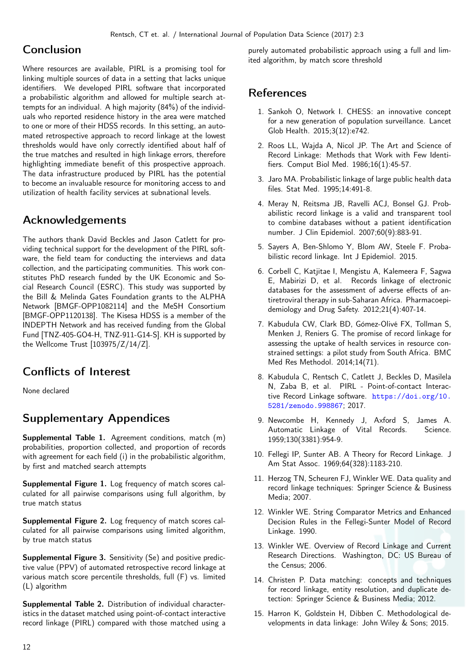# Conclusion

Where resources are available, PIRL is a promising tool for linking multiple sources of data in a setting that lacks unique identifiers. We developed PIRL software that incorporated a probabilistic algorithm and allowed for multiple search attempts for an individual. A high majority (84%) of the individuals who reported residence history in the area were matched to one or more of their HDSS records. In this setting, an automated retrospective approach to record linkage at the lowest thresholds would have only correctly identified about half of the true matches and resulted in high linkage errors, therefore highlighting immediate benefit of this prospective approach. The data infrastructure produced by PIRL has the potential to become an invaluable resource for monitoring access to and utilization of health facility services at subnational levels.

# Acknowledgements

The authors thank David Beckles and Jason Catlett for providing technical support for the development of the PIRL software, the field team for conducting the interviews and data collection, and the participating communities. This work constitutes PhD research funded by the UK Economic and Social Research Council (ESRC). This study was supported by the Bill & Melinda Gates Foundation grants to the ALPHA Network [BMGF-OPP1082114] and the MeSH Consortium [BMGF-OPP1120138]. The Kisesa HDSS is a member of the INDEPTH Network and has received funding from the Global Fund [TNZ-405-GO4-H, TNZ-911-G14-S]. KH is supported by the Wellcome Trust [103975/Z/14/Z].

# Conflicts of Interest

None declared

# Supplementary Appendices

Supplemental Table 1. Agreement conditions, match (m) probabilities, proportion collected, and proportion of records with agreement for each field (i) in the probabilistic algorithm, by first and matched search attempts

Supplemental Figure 1. Log frequency of match scores calculated for all pairwise comparisons using full algorithm, by true match status

Supplemental Figure 2. Log frequency of match scores calculated for all pairwise comparisons using limited algorithm, by true match status

Supplemental Figure 3. Sensitivity (Se) and positive predictive value (PPV) of automated retrospective record linkage at various match score percentile thresholds, full (F) vs. limited (L) algorithm

Supplemental Table 2. Distribution of individual characteristics in the dataset matched using point-of-contact interactive record linkage (PIRL) compared with those matched using a purely automated probabilistic approach using a full and limited algorithm, by match score threshold

# References

- 1. Sankoh O, Network I. CHESS: an innovative concept for a new generation of population surveillance. Lancet Glob Health. 2015;3(12):e742.
- 2. Roos LL, Wajda A, Nicol JP. The Art and Science of Record Linkage: Methods that Work with Few Identifiers. Comput Biol Med. 1986;16(1):45-57.
- 3. Jaro MA. Probabilistic linkage of large public health data files. Stat Med. 1995;14:491-8.
- 4. Meray N, Reitsma JB, Ravelli ACJ, Bonsel GJ. Probabilistic record linkage is a valid and transparent tool to combine databases without a patient identification number. J Clin Epidemiol. 2007;60(9):883-91.
- 5. Sayers A, Ben-Shlomo Y, Blom AW, Steele F. Probabilistic record linkage. Int J Epidemiol. 2015.
- 6. Corbell C, Katjitae I, Mengistu A, Kalemeera F, Sagwa E, Mabirizi D, et al. Records linkage of electronic databases for the assessment of adverse effects of antiretroviral therapy in sub-Saharan Africa. Pharmacoepidemiology and Drug Safety. 2012;21(4):407-14.
- 7. Kabudula CW, Clark BD, Gómez-Olivé FX, Tollman S, Menken J, Reniers G. The promise of record linkage for assessing the uptake of health services in resource constrained settings: a pilot study from South Africa. BMC Med Res Methodol. 2014;14(71).
- 8. Kabudula C, Rentsch C, Catlett J, Beckles D, Masilela N, Zaba B, et al. PIRL - Point-of-contact Interactive Record Linkage software. [https://doi.org/10.](https://doi.org/10.5281/zenodo.998867) [5281/zenodo.998867](https://doi.org/10.5281/zenodo.998867); 2017.
- 9. Newcombe H, Kennedy J, Axford S, James A. Automatic Linkage of Vital Records. Science. 1959;130(3381):954-9.
- 10. Fellegi IP, Sunter AB. A Theory for Record Linkage. J Am Stat Assoc. 1969;64(328):1183-210.
- 11. Herzog TN, Scheuren FJ, Winkler WE. Data quality and record linkage techniques: Springer Science & Business Media; 2007.
- 12. Winkler WE. String Comparator Metrics and Enhanced Decision Rules in the Fellegi-Sunter Model of Record Linkage. 1990.
- 13. Winkler WE. Overview of Record Linkage and Current Research Directions. Washington, DC: US Bureau of the Census; 2006.
- 14. Christen P. Data matching: concepts and techniques for record linkage, entity resolution, and duplicate detection: Springer Science & Business Media; 2012.
- 15. Harron K, Goldstein H, Dibben C. Methodological developments in data linkage: John Wiley & Sons; 2015.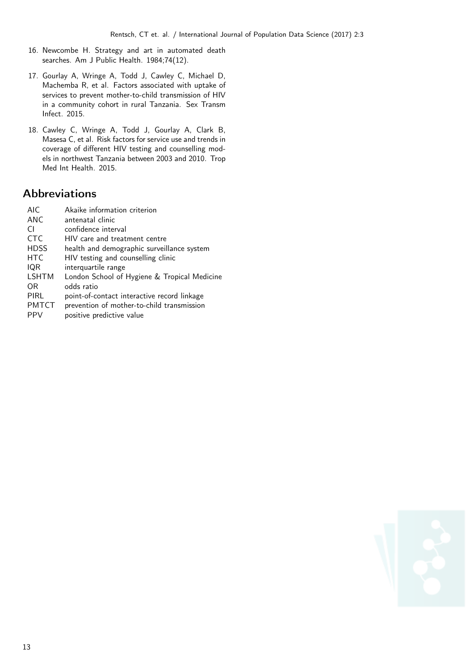- 16. Newcombe H. Strategy and art in automated death searches. Am J Public Health. 1984;74(12).
- 17. Gourlay A, Wringe A, Todd J, Cawley C, Michael D, Machemba R, et al. Factors associated with uptake of services to prevent mother-to-child transmission of HIV in a community cohort in rural Tanzania. Sex Transm Infect. 2015.
- 18. Cawley C, Wringe A, Todd J, Gourlay A, Clark B, Masesa C, et al. Risk factors for service use and trends in coverage of different HIV testing and counselling models in northwest Tanzania between 2003 and 2010. Trop Med Int Health. 2015.

# Abbreviations

| <b>AIC</b>      | Akaike information criterion                 |
|-----------------|----------------------------------------------|
| <b>ANC</b>      | antenatal clinic                             |
| CI.             | confidence interval                          |
| C <sub>TC</sub> | HIV care and treatment centre                |
| <b>HDSS</b>     | health and demographic surveillance system   |
| <b>HTC</b>      | HIV testing and counselling clinic           |
| IQR             | interquartile range                          |
| <b>LSHTM</b>    | London School of Hygiene & Tropical Medicine |
| 0R              | odds ratio                                   |
| PIRL            | point-of-contact interactive record linkage  |
| <b>PMTCT</b>    | prevention of mother-to-child transmission   |
| <b>PPV</b>      | positive predictive value                    |

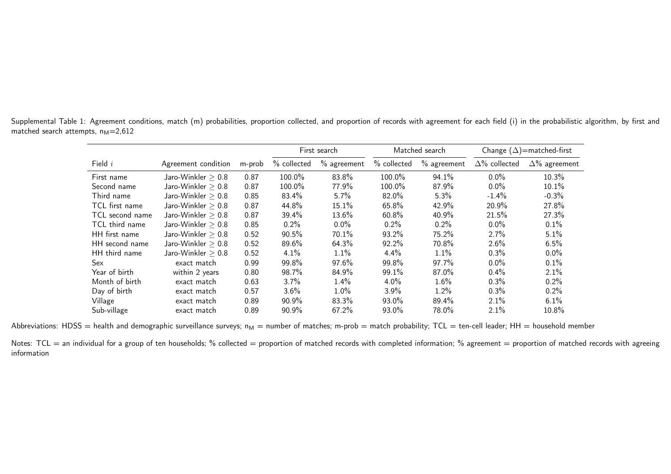Supplemental Table 1: Agreement conditions, match (m) probabilities, proportion collected, and proportion of records with agreement for each field (i) in the probabilistic algorithm, by first and matched search attempts,  $n_M=2,612$ 

|                 |                      |        |             | First search  |             | Matched search | Change $(\Delta)$ =matched-first |                      |  |
|-----------------|----------------------|--------|-------------|---------------|-------------|----------------|----------------------------------|----------------------|--|
| Field $i$       | Agreement condition  | m-prob | % collected | $%$ agreement | % collected | $%$ agreement  | $\Delta\%$ collected             | $\Delta\%$ agreement |  |
| First name      | Jaro-Winkler $> 0.8$ | 0.87   | 100.0%      | 83.8%         | 100.0%      | 94.1%          | $0.0\%$                          | 10.3%                |  |
| Second name     | Jaro-Winkler $> 0.8$ | 0.87   | 100.0%      | 77.9%         | 100.0%      | 87.9%          | $0.0\%$                          | 10.1%                |  |
| Third name      | Jaro-Winkler $> 0.8$ | 0.85   | 83.4%       | $5.7\%$       | 82.0%       | 5.3%           | $-1.4%$                          | $-0.3%$              |  |
| TCL first name  | Jaro-Winkler $> 0.8$ | 0.87   | 44.8%       | 15.1%         | 65.8%       | 42.9%          | 20.9%                            | 27.8%                |  |
| TCL second name | Jaro-Winkler $> 0.8$ | 0.87   | 39.4%       | 13.6%         | 60.8%       | 40.9%          | 21.5%                            | 27.3%                |  |
| TCL third name  | Jaro-Winkler $> 0.8$ | 0.85   | $0.2\%$     | $0.0\%$       | $0.2\%$     | $0.2\%$        | $0.0\%$                          | 0.1%                 |  |
| HH first name   | Jaro-Winkler $> 0.8$ | 0.52   | 90.5%       | 70.1%         | 93.2%       | 75.2%          | 2.7%                             | 5.1%                 |  |
| HH second name  | Jaro-Winkler $> 0.8$ | 0.52   | 89.6%       | 64.3%         | 92.2%       | 70.8%          | 2.6%                             | 6.5%                 |  |
| HH third name   | Jaro-Winkler $> 0.8$ | 0.52   | 4.1%        | 1.1%          | $4.4\%$     | 1.1%           | 0.3%                             | $0.0\%$              |  |
| Sex             | exact match          | 0.99   | 99.8%       | 97.6%         | 99.8%       | 97.7%          | $0.0\%$                          | $0.1\%$              |  |
| Year of birth   | within 2 years       | 0.80   | 98.7%       | 84.9%         | 99.1%       | 87.0%          | $0.4\%$                          | 2.1%                 |  |
| Month of birth  | exact match          | 0.63   | $3.7\%$     | 1.4%          | $4.0\%$     | $1.6\%$        | $0.3\%$                          | 0.2%                 |  |
| Day of birth    | exact match          | 0.57   | $3.6\%$     | $1.0\%$       | $3.9\%$     | 1.2%           | $0.3\%$                          | $0.2\%$              |  |
| Village         | exact match          | 0.89   | $90.9\%$    | 83.3%         | 93.0%       | 89.4%          | $2.1\%$                          | $6.1\%$              |  |
| Sub-village     | exact match          | 0.89   | 90.9%       | 67.2%         | 93.0%       | 78.0%          | 2.1%                             | 10.8%                |  |

Abbreviations: HDSS  $=$  health and demographic surveillance surveys;  $n_M =$  number of matches; m-prob  $=$  match probability; TCL  $=$  ten-cell leader; HH  $=$  household member

Notes: TCL = an individual for a group of ten households; % collected = proportion of matched records with completed information; % agreement = proportion of matched records with agreeing information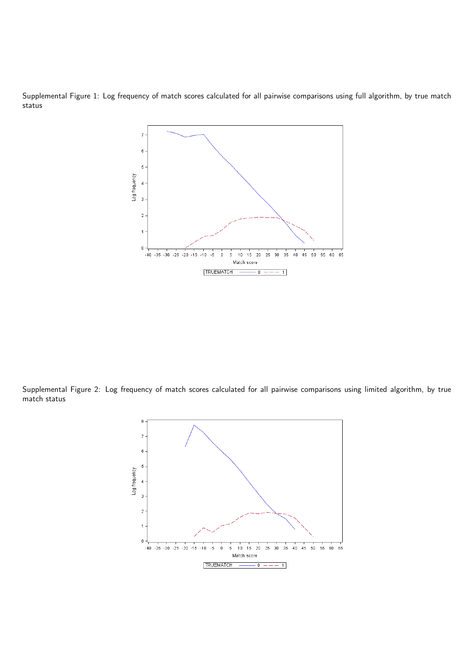Supplemental Figure 1: Log frequency of match scores calculated for all pairwise comparisons using full algorithm, by true match status



Supplemental Figure 2: Log frequency of match scores calculated for all pairwise comparisons using limited algorithm, by true match status

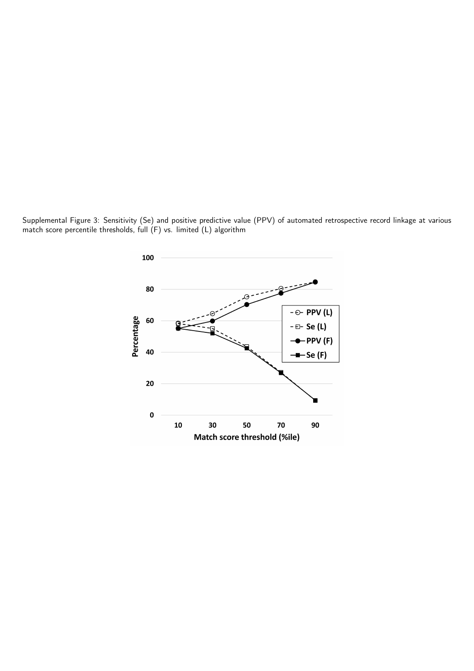Supplemental Figure 3: Sensitivity (Se) and positive predictive value (PPV) of automated retrospective record linkage at various match score percentile thresholds, full  $(F)$  vs. limited (L) algorithm